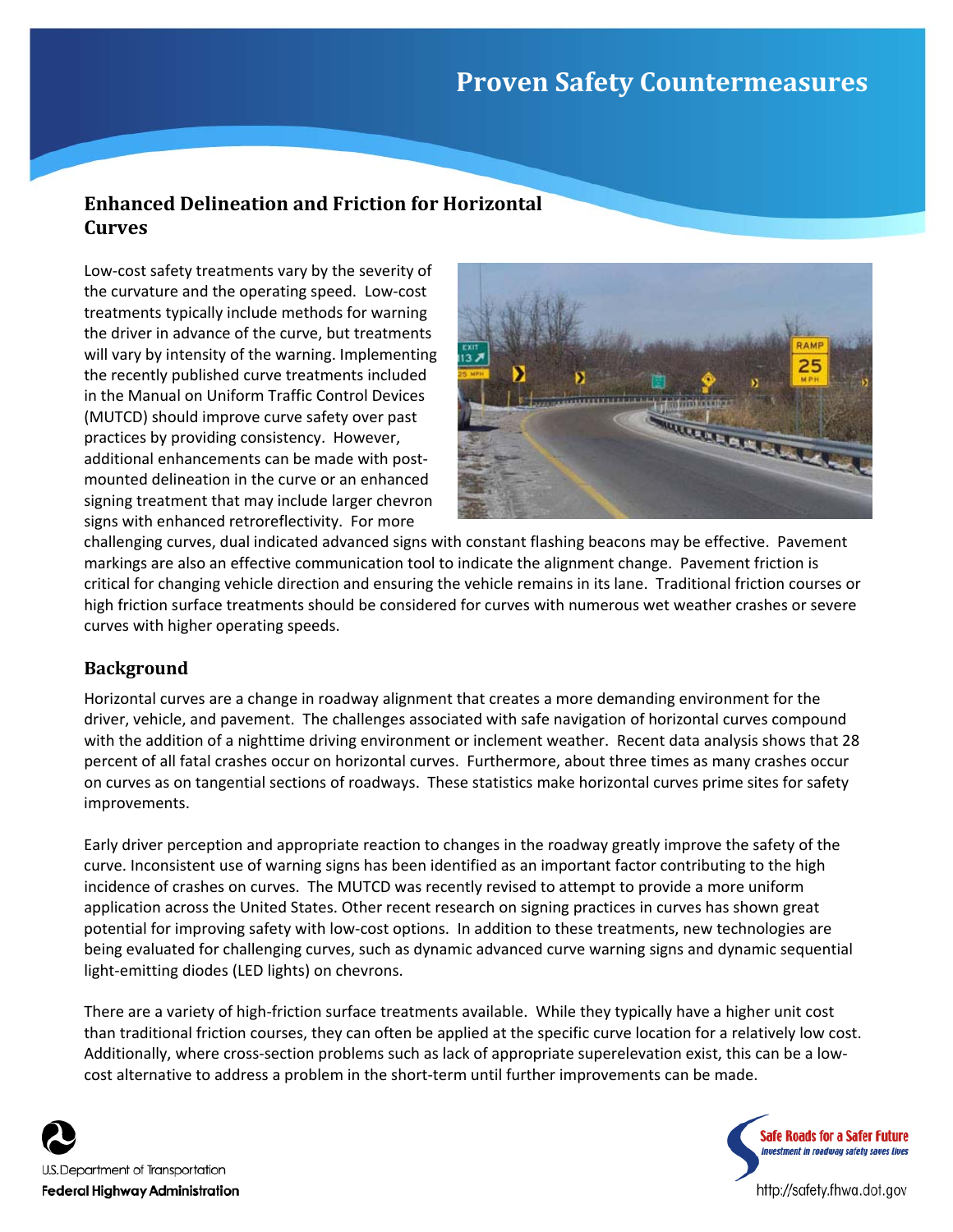# **Proven Safety Countermeasures**

# **Enhanced Delineation and Friction for Horizontal Curves**

Low‐cost safety treatments vary by the severity of the curvature and the operating speed. Low‐cost treatments typically include methods for warning the driver in advance of the curve, but treatments will vary by intensity of the warning. Implementing the recently published curve treatments included in the Manual on Uniform Traffic Control Devices (MUTCD) should improve curve safety over past practices by providing consistency. However, additional enhancements can be made with post‐ mounted delineation in the curve or an enhanced signing treatment that may include larger chevron signs with enhanced retroreflectivity. For more



challenging curves, dual indicated advanced signs with constant flashing beacons may be effective. Pavement markings are also an effective communication tool to indicate the alignment change. Pavement friction is critical for changing vehicle direction and ensuring the vehicle remains in its lane. Traditional friction courses or high friction surface treatments should be considered for curves with numerous wet weather crashes or severe curves with higher operating speeds.

# **Background**

Horizontal curves are a change in roadway alignment that creates a more demanding environment for the driver, vehicle, and pavement. The challenges associated with safe navigation of horizontal curves compound with the addition of a nighttime driving environment or inclement weather. Recent data analysis shows that 28 percent of all fatal crashes occur on horizontal curves. Furthermore, about three times as many crashes occur on curves as on tangential sections of roadways. These statistics make horizontal curves prime sites for safety improvements.

Early driver perception and appropriate reaction to changes in the roadway greatly improve the safety of the curve. Inconsistent use of warning signs has been identified as an important factor contributing to the high incidence of crashes on curves. The MUTCD was recently revised to attempt to provide a more uniform application across the United States. Other recent research on signing practices in curves has shown great potential for improving safety with low-cost options. In addition to these treatments, new technologies are being evaluated for challenging curves, such as dynamic advanced curve warning signs and dynamic sequential light-emitting diodes (LED lights) on chevrons.

There are a variety of high‐friction surface treatments available. While they typically have a higher unit cost than traditional friction courses, they can often be applied at the specific curve location for a relatively low cost. Additionally, where cross‐section problems such as lack of appropriate superelevation exist, this can be a low‐ cost alternative to address a problem in the short‐term until further improvements can be made.